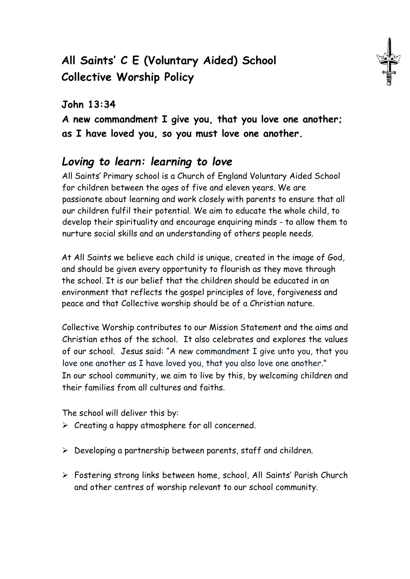# **All Saints' C E (Voluntary Aided) School Collective Worship Policy**

### **John 13:34**

**A new commandment I give you, that you love one another; as I have loved you, so you must love one another.** 

## *Loving to learn: learning to love*

All Saints' Primary school is a Church of England Voluntary Aided School for children between the ages of five and eleven years. We are passionate about learning and work closely with parents to ensure that all our children fulfil their potential. We aim to educate the whole child, to develop their spirituality and encourage enquiring minds - to allow them to nurture social skills and an understanding of others people needs.

At All Saints we believe each child is unique, created in the image of God, and should be given every opportunity to flourish as they move through the school. It is our belief that the children should be educated in an environment that reflects the gospel principles of love, forgiveness and peace and that Collective worship should be of a Christian nature.

Collective Worship contributes to our Mission Statement and the aims and Christian ethos of the school. It also celebrates and explores the values of our school. Jesus said: "A new commandment I give unto you, that you love one another as I have loved you, that you also love one another." In our school community, we aim to live by this, by welcoming children and their families from all cultures and faiths.

The school will deliver this by:

- $\triangleright$  Creating a happy atmosphere for all concerned.
- $\triangleright$  Developing a partnership between parents, staff and children.
- Fostering strong links between home, school, All Saints' Parish Church and other centres of worship relevant to our school community.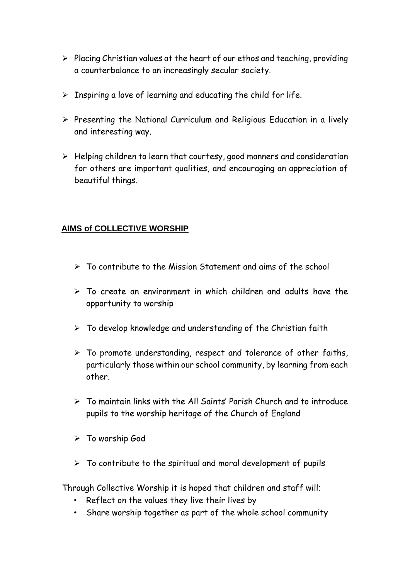- $\triangleright$  Placing Christian values at the heart of our ethos and teaching, providing a counterbalance to an increasingly secular society.
- $\triangleright$  Inspiring a love of learning and educating the child for life.
- $\triangleright$  Presenting the National Curriculum and Religious Education in a lively and interesting way.
- $\triangleright$  Helping children to learn that courtesy, good manners and consideration for others are important qualities, and encouraging an appreciation of beautiful things.

#### **AIMS of COLLECTIVE WORSHIP**

- $\triangleright$  To contribute to the Mission Statement and aims of the school
- $\triangleright$  To create an environment in which children and adults have the opportunity to worship
- $\triangleright$  To develop knowledge and understanding of the Christian faith
- $\triangleright$  To promote understanding, respect and tolerance of other faiths, particularly those within our school community, by learning from each other.
- $\triangleright$  To maintain links with the All Saints' Parish Church and to introduce pupils to the worship heritage of the Church of England
- > To worship God
- $\triangleright$  To contribute to the spiritual and moral development of pupils

Through Collective Worship it is hoped that children and staff will;

- Reflect on the values they live their lives by
- Share worship together as part of the whole school community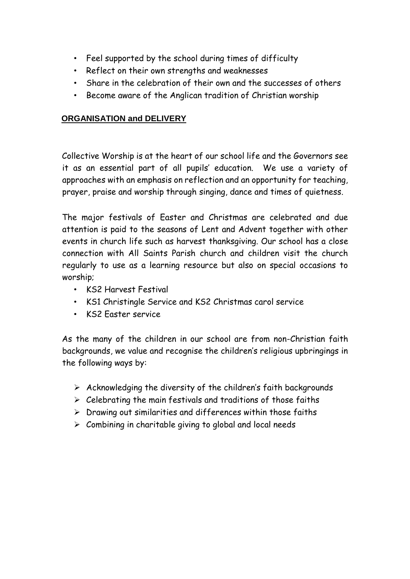- Feel supported by the school during times of difficulty
- Reflect on their own strengths and weaknesses
- Share in the celebration of their own and the successes of others
- Become aware of the Anglican tradition of Christian worship

#### **ORGANISATION and DELIVERY**

Collective Worship is at the heart of our school life and the Governors see it as an essential part of all pupils' education. We use a variety of approaches with an emphasis on reflection and an opportunity for teaching, prayer, praise and worship through singing, dance and times of quietness.

The major festivals of Easter and Christmas are celebrated and due attention is paid to the seasons of Lent and Advent together with other events in church life such as harvest thanksgiving. Our school has a close connection with All Saints Parish church and children visit the church regularly to use as a learning resource but also on special occasions to worship;

- KS2 Harvest Festival
- KS1 Christingle Service and KS2 Christmas carol service
- KS2 Easter service

As the many of the children in our school are from non-Christian faith backgrounds, we value and recognise the children's religious upbringings in the following ways by:

- $\triangleright$  Acknowledging the diversity of the children's faith backgrounds
- $\triangleright$  Celebrating the main festivals and traditions of those faiths
- $\triangleright$  Drawing out similarities and differences within those faiths
- $\triangleright$  Combining in charitable giving to global and local needs